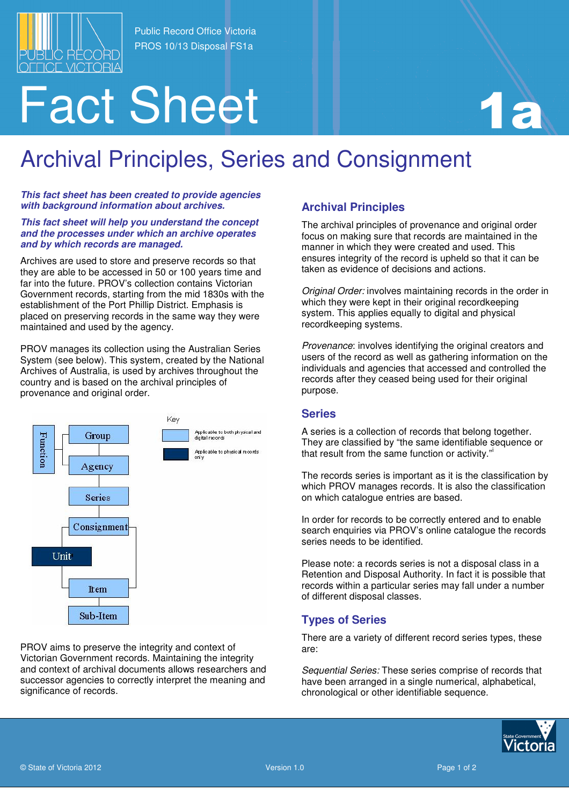

Public Record Office Victoria PROS 10/13 Disposal FS1a

# Fact Sheet 11 13

## Archival Principles, Series and Consignment

**This fact sheet has been created to provide agencies with background information about archives.** 

#### **This fact sheet will help you understand the concept and the processes under which an archive operates and by which records are managed.**

Archives are used to store and preserve records so that they are able to be accessed in 50 or 100 years time and far into the future. PROV's collection contains Victorian Government records, starting from the mid 1830s with the establishment of the Port Phillip District. Emphasis is placed on preserving records in the same way they were maintained and used by the agency.

PROV manages its collection using the Australian Series System (see below). This system, created by the National Archives of Australia, is used by archives throughout the country and is based on the archival principles of provenance and original order.



PROV aims to preserve the integrity and context of Victorian Government records. Maintaining the integrity and context of archival documents allows researchers and successor agencies to correctly interpret the meaning and significance of records.

### **Archival Principles**

The archival principles of provenance and original order focus on making sure that records are maintained in the manner in which they were created and used. This ensures integrity of the record is upheld so that it can be taken as evidence of decisions and actions.

Original Order: involves maintaining records in the order in which they were kept in their original recordkeeping system. This applies equally to digital and physical recordkeeping systems.

Provenance: involves identifying the original creators and users of the record as well as gathering information on the individuals and agencies that accessed and controlled the records after they ceased being used for their original purpose.

#### **Series**

A series is a collection of records that belong together. They are classified by "the same identifiable sequence or that result from the same function or activity."

The records series is important as it is the classification by which PROV manages records. It is also the classification on which catalogue entries are based.

In order for records to be correctly entered and to enable search enquiries via PROV's online catalogue the records series needs to be identified.

Please note: a records series is not a disposal class in a Retention and Disposal Authority. In fact it is possible that records within a particular series may fall under a number of different disposal classes.

#### **Types of Series**

There are a variety of different record series types, these are:

Sequential Series: These series comprise of records that have been arranged in a single numerical, alphabetical, chronological or other identifiable sequence.